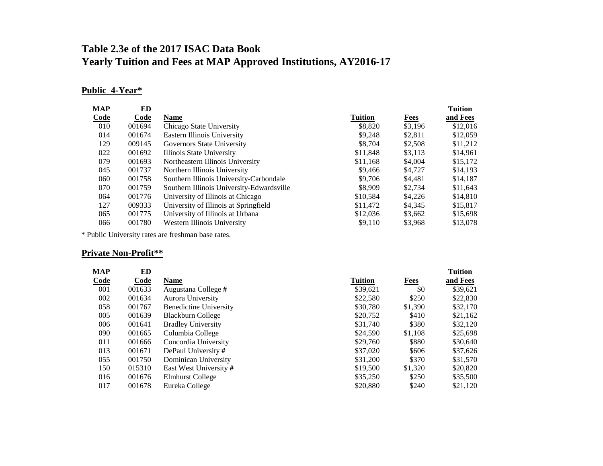# **Table 2.3e of the 2017 ISAC Data Book Yearly Tuition and Fees at MAP Approved Institutions, AY2016-17**

# **Public 4-Year\***

| <b>MAP</b> | ED     |                                           |                |             | <b>Tuition</b> |
|------------|--------|-------------------------------------------|----------------|-------------|----------------|
| Code       | Code   | <b>Name</b>                               | <b>Tuition</b> | <b>Fees</b> | and Fees       |
| 010        | 001694 | Chicago State University                  | \$8,820        | \$3,196     | \$12,016       |
| 014        | 001674 | Eastern Illinois University               | \$9.248        | \$2,811     | \$12,059       |
| 129        | 009145 | Governors State University                | \$8,704        | \$2,508     | \$11,212       |
| 022        | 001692 | Illinois State University                 | \$11,848       | \$3.113     | \$14,961       |
| 079        | 001693 | Northeastern Illinois University          | \$11,168       | \$4,004     | \$15,172       |
| 045        | 001737 | Northern Illinois University              | \$9,466        | \$4,727     | \$14,193       |
| 060        | 001758 | Southern Illinois University-Carbondale   | \$9,706        | \$4.481     | \$14,187       |
| 070        | 001759 | Southern Illinois University-Edwardsville | \$8,909        | \$2,734     | \$11.643       |
| 064        | 001776 | University of Illinois at Chicago         | \$10,584       | \$4,226     | \$14,810       |
| 127        | 009333 | University of Illinois at Springfield     | \$11,472       | \$4,345     | \$15,817       |
| 065        | 001775 | University of Illinois at Urbana          | \$12,036       | \$3,662     | \$15,698       |
| 066        | 001780 | Western Illinois University               | \$9.110        | \$3,968     | \$13,078       |

\* Public University rates are freshman base rates.

# **Private Non-Profit\*\***

| MAP         | ED          |                               |                |             | <b>Tuition</b> |
|-------------|-------------|-------------------------------|----------------|-------------|----------------|
| <b>Code</b> | <b>Code</b> | <b>Name</b>                   | <b>Tuition</b> | <b>Fees</b> | and Fees       |
| 001         | 001633      | Augustana College #           | \$39.621       | \$0         | \$39,621       |
| 002         | 001634      | Aurora University             | \$22,580       | \$250       | \$22,830       |
| 058         | 001767      | <b>Benedictine University</b> | \$30,780       | \$1,390     | \$32,170       |
| 005         | 001639      | Blackburn College             | \$20,752       | \$410       | \$21,162       |
| 006         | 001641      | <b>Bradley University</b>     | \$31,740       | \$380       | \$32,120       |
| 090         | 001665      | Columbia College              | \$24,590       | \$1.108     | \$25,698       |
| 011         | 001666      | Concordia University          | \$29,760       | \$880       | \$30,640       |
| 013         | 001671      | DePaul University #           | \$37,020       | \$606       | \$37,626       |
| 055         | 001750      | Dominican University          | \$31,200       | \$370       | \$31,570       |
| 150         | 015310      | East West University #        | \$19,500       | \$1,320     | \$20,820       |
| 016         | 001676      | Elmhurst College              | \$35,250       | \$250       | \$35,500       |
| 017         | 001678      | Eureka College                | \$20,880       | \$240       | \$21,120       |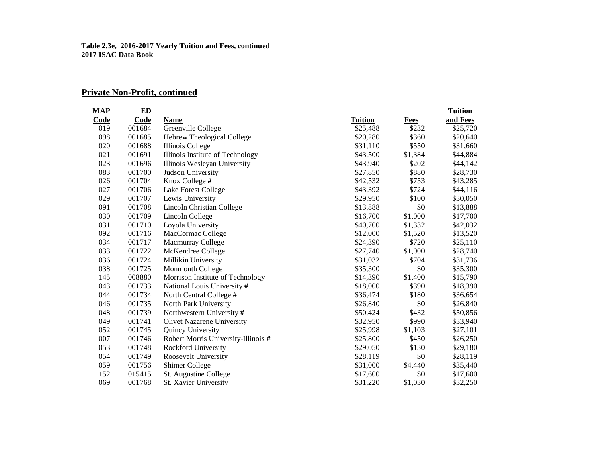# **Private Non-Profit, continued**

| <b>MAP</b> | <b>ED</b> |                                     |                |         | <b>Tuition</b> |
|------------|-----------|-------------------------------------|----------------|---------|----------------|
| Code       | Code      | Name                                | <b>Tuition</b> | Fees    | and Fees       |
| 019        | 001684    | Greenville College                  | \$25,488       | \$232   | \$25,720       |
| 098        | 001685    | Hebrew Theological College          | \$20,280       | \$360   | \$20,640       |
| 020        | 001688    | Illinois College                    | \$31,110       | \$550   | \$31,660       |
| 021        | 001691    | Illinois Institute of Technology    | \$43,500       | \$1,384 | \$44,884       |
| 023        | 001696    | Illinois Wesleyan University        | \$43,940       | \$202   | \$44,142       |
| 083        | 001700    | Judson University                   | \$27,850       | \$880   | \$28,730       |
| 026        | 001704    | Knox College #                      | \$42,532       | \$753   | \$43,285       |
| 027        | 001706    | <b>Lake Forest College</b>          | \$43,392       | \$724   | \$44,116       |
| 029        | 001707    | Lewis University                    | \$29,950       | \$100   | \$30,050       |
| 091        | 001708    | Lincoln Christian College           | \$13,888       | \$0     | \$13,888       |
| 030        | 001709    | Lincoln College                     | \$16,700       | \$1,000 | \$17,700       |
| 031        | 001710    | Loyola University                   | \$40,700       | \$1,332 | \$42,032       |
| 092        | 001716    | MacCormac College                   | \$12,000       | \$1,520 | \$13,520       |
| 034        | 001717    | Macmurray College                   | \$24,390       | \$720   | \$25,110       |
| 033        | 001722    | McKendree College                   | \$27,740       | \$1,000 | \$28,740       |
| 036        | 001724    | Millikin University                 | \$31,032       | \$704   | \$31,736       |
| 038        | 001725    | Monmouth College                    | \$35,300       | \$0     | \$35,300       |
| 145        | 008880    | Morrison Institute of Technology    | \$14,390       | \$1,400 | \$15,790       |
| 043        | 001733    | National Louis University #         | \$18,000       | \$390   | \$18,390       |
| 044        | 001734    | North Central College #             | \$36,474       | \$180   | \$36,654       |
| 046        | 001735    | North Park University               | \$26,840       | \$0     | \$26,840       |
| 048        | 001739    | Northwestern University #           | \$50,424       | \$432   | \$50,856       |
| 049        | 001741    | <b>Olivet Nazarene University</b>   | \$32,950       | \$990   | \$33,940       |
| 052        | 001745    | Quincy University                   | \$25,998       | \$1,103 | \$27,101       |
| 007        | 001746    | Robert Morris University-Illinois # | \$25,800       | \$450   | \$26,250       |
| 053        | 001748    | Rockford University                 | \$29,050       | \$130   | \$29,180       |
| 054        | 001749    | Roosevelt University                | \$28,119       | \$0     | \$28,119       |
| 059        | 001756    | <b>Shimer College</b>               | \$31,000       | \$4,440 | \$35,440       |
| 152        | 015415    | St. Augustine College               | \$17,600       | \$0     | \$17,600       |
| 069        | 001768    | St. Xavier University               | \$31,220       | \$1,030 | \$32,250       |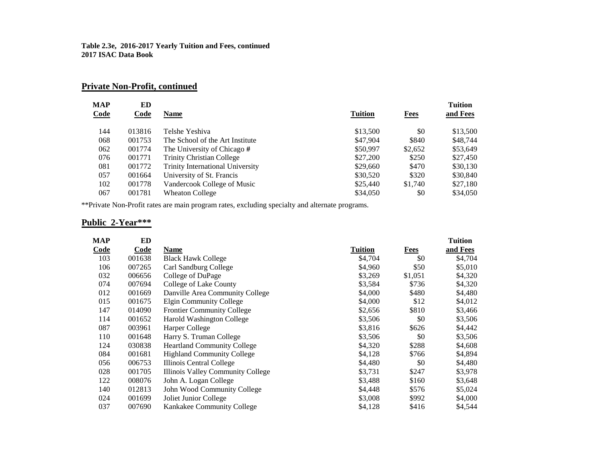# **Private Non-Profit, continued**

| MAP  | ED     |                                         |                |         | <b>Tuition</b> |
|------|--------|-----------------------------------------|----------------|---------|----------------|
| Code | Code   | <b>Name</b>                             | <b>Tuition</b> | Fees    | and Fees       |
| 144  | 013816 | Telshe Yeshiva                          | \$13,500       | \$0     | \$13,500       |
| 068  | 001753 | The School of the Art Institute         | \$47,904       | \$840   | \$48,744       |
| 062  | 001774 | The University of Chicago #             | \$50,997       | \$2,652 | \$53,649       |
| 076  | 001771 | <b>Trinity Christian College</b>        | \$27,200       | \$250   | \$27,450       |
| 081  | 001772 | <b>Trinity International University</b> | \$29,660       | \$470   | \$30,130       |
| 057  | 001664 | University of St. Francis               | \$30,520       | \$320   | \$30,840       |
| 102  | 001778 | Vandercook College of Music             | \$25,440       | \$1,740 | \$27,180       |
| 067  | 001781 | <b>Wheaton College</b>                  | \$34,050       | \$0     | \$34,050       |

\*\*Private Non-Profit rates are main program rates, excluding specialty and alternate programs.

### **Public 2-Year\*\*\***

| MAP  | ED     |                                    |         |         | <b>Tuition</b> |
|------|--------|------------------------------------|---------|---------|----------------|
| Code | Code   | Name                               | Tuition | Fees    | and Fees       |
| 103  | 001638 | <b>Black Hawk College</b>          | \$4,704 | \$0     | \$4,704        |
| 106  | 007265 | Carl Sandburg College              | \$4,960 | \$50    | \$5,010        |
| 032  | 006656 | College of DuPage                  | \$3,269 | \$1,051 | \$4,320        |
| 074  | 007694 | College of Lake County             | \$3,584 | \$736   | \$4,320        |
| 012  | 001669 | Danville Area Community College    | \$4,000 | \$480   | \$4,480        |
| 015  | 001675 | Elgin Community College            | \$4,000 | \$12    | \$4,012        |
| 147  | 014090 | <b>Frontier Community College</b>  | \$2,656 | \$810   | \$3,466        |
| 114  | 001652 | Harold Washington College          | \$3,506 | \$0     | \$3,506        |
| 087  | 003961 | Harper College                     | \$3,816 | \$626   | \$4,442        |
| 110  | 001648 | Harry S. Truman College            | \$3,506 | \$0     | \$3,506        |
| 124  | 030838 | <b>Heartland Community College</b> | \$4,320 | \$288   | \$4,608        |
| 084  | 001681 | <b>Highland Community College</b>  | \$4,128 | \$766   | \$4,894        |
| 056  | 006753 | Illinois Central College           | \$4,480 | \$0     | \$4,480        |
| 028  | 001705 | Illinois Valley Community College  | \$3,731 | \$247   | \$3,978        |
| 122  | 008076 | John A. Logan College              | \$3,488 | \$160   | \$3,648        |
| 140  | 012813 | John Wood Community College        | \$4,448 | \$576   | \$5,024        |
| 024  | 001699 | Joliet Junior College              | \$3,008 | \$992   | \$4,000        |
| 037  | 007690 | Kankakee Community College         | \$4,128 | \$416   | \$4,544        |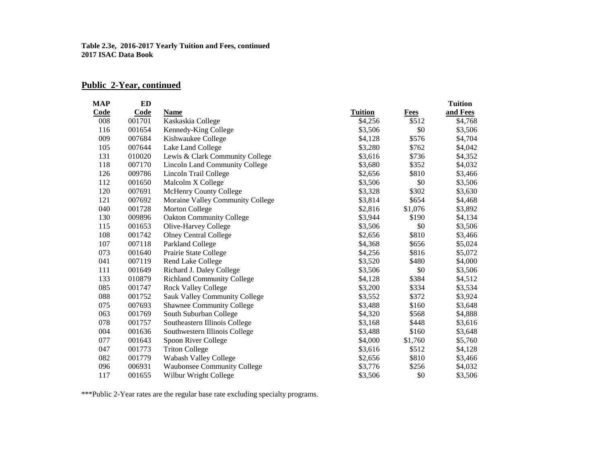# **Public 2-Year, continued**

| <b>MAP</b> | ED     |                                       |                |             | <b>Tuition</b> |
|------------|--------|---------------------------------------|----------------|-------------|----------------|
| Code       | Code   | <b>Name</b>                           | <b>Tuition</b> | <b>Fees</b> | and Fees       |
| 008        | 001701 | Kaskaskia College                     | \$4,256        | \$512       | \$4,768        |
| 116        | 001654 | Kennedy-King College                  | \$3,506        | \$0         | \$3,506        |
| 009        | 007684 | Kishwaukee College                    | \$4,128        | \$576       | \$4,704        |
| 105        | 007644 | Lake Land College                     | \$3,280        | \$762       | \$4,042        |
| 131        | 010020 | Lewis & Clark Community College       | \$3,616        | \$736       | \$4,352        |
| 118        | 007170 | <b>Lincoln Land Community College</b> | \$3,680        | \$352       | \$4,032        |
| 126        | 009786 | Lincoln Trail College                 | \$2,656        | \$810       | \$3,466        |
| 112        | 001650 | Malcolm X College                     | \$3,506        | \$0         | \$3,506        |
| 120        | 007691 | McHenry County College                | \$3,328        | \$302       | \$3,630        |
| 121        | 007692 | Moraine Valley Community College      | \$3,814        | \$654       | \$4,468        |
| 040        | 001728 | Morton College                        | \$2,816        | \$1,076     | \$3,892        |
| 130        | 009896 | <b>Oakton Community College</b>       | \$3,944        | \$190       | \$4,134        |
| 115        | 001653 | Olive-Harvey College                  | \$3,506        | \$0         | \$3,506        |
| 108        | 001742 | <b>Olney Central College</b>          | \$2,656        | \$810       | \$3,466        |
| 107        | 007118 | Parkland College                      | \$4,368        | \$656       | \$5,024        |
| 073        | 001640 | Prairie State College                 | \$4,256        | \$816       | \$5,072        |
| 041        | 007119 | Rend Lake College                     | \$3,520        | \$480       | \$4,000        |
| 111        | 001649 | Richard J. Daley College              | \$3,506        | \$0         | \$3,506        |
| 133        | 010879 | <b>Richland Community College</b>     | \$4,128        | \$384       | \$4,512        |
| 085        | 001747 | <b>Rock Valley College</b>            | \$3,200        | \$334       | \$3,534        |
| 088        | 001752 | Sauk Valley Community College         | \$3,552        | \$372       | \$3,924        |
| 075        | 007693 | <b>Shawnee Community College</b>      | \$3,488        | \$160       | \$3,648        |
| 063        | 001769 | South Suburban College                | \$4,320        | \$568       | \$4,888        |
| 078        | 001757 | Southeastern Illinois College         | \$3,168        | \$448       | \$3,616        |
| 004        | 001636 | Southwestern Illinois College         | \$3,488        | \$160       | \$3,648        |
| 077        | 001643 | Spoon River College                   | \$4,000        | \$1,760     | \$5,760        |
| 047        | 001773 | <b>Triton College</b>                 | \$3,616        | \$512       | \$4,128        |
| 082        | 001779 | Wabash Valley College                 | \$2,656        | \$810       | \$3,466        |
| 096        | 006931 | <b>Waubonsee Community College</b>    | \$3,776        | \$256       | \$4,032        |
| 117        | 001655 | Wilbur Wright College                 | \$3,506        | \$0         | \$3,506        |

\*\*\*Public 2-Year rates are the regular base rate excluding specialty programs.